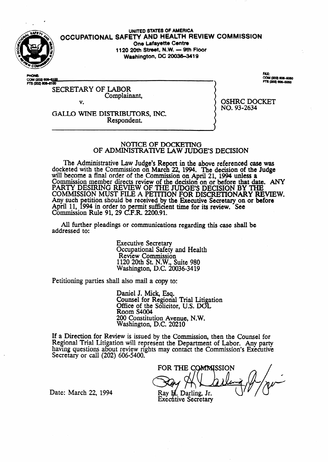

#### **UNITED STATES OF AMERICA OCCUPATIONAL SAFETY AND HEALTH** REVIEW **COMMISSION One Lafayette Centre 1120 20th Street, N.W. - 9th Floor Washington, DC 20036-3419**

PH**ONE:**<br>C**OM (202) 608–5<u>100</u><br>FTS (202) 608–5100** 

### SECRETARY OF LABOR Complainant, v.

FAX:<br>COM (202) 606-6060 TS (202) 606-5050

GALL0 WINE DISTRIBUTORS, INC. Respondent.

OSHRC DOCKET NO. 93-2634

## NOTICE OF DOCKETING OF ADMINISTRATivE LAW JUDGE'S DECISION

The Administrative Law Judge's Report in the above referenced case was docketed with the Commission on March 22, 1994. The decision of the Judge will become a final order of the Commission on April 21, 1994 unless a Commission member directs review of the decision on or before that date. ANY PARTY DESIRING REVIEW OF THE JUDGE'S DECISION BY THE COMMISSION MUST FILE A PETITION FOR DISCRETIONARY REVIEW. Any such petition should be received by the Executive Secretary on or before April 11, 1994 in order to permit sufficient time for its review. See Commission Rule 91, 29 C.F.R. 2200.91.

All further pleadings or communications regarding this case shall be addressed to:

> Executive Secretary Occupational Safety and Health Review Commission 1120 20th St. N.W., Suite 980 Washington, D.C. 20036-3419

Petitioning parties shall also mail a copy to:

Daniel J. Mick, Esq. Counsel for Regional Trial Litigation Office of the Solicitor, U.S. DOL Room S4004 200 Constitution **Avenue,** N.W. Washington, D.C. 20210

If a Direction for Review is issued by the Commission, then the Counsel for Regional Trial Litigation will represent the Department of Labor. Any party having questions about review rights may contact the Commission's Executive Secretary or call  $(202)$  606-5400.

FOR THE COMMISSION Ray H. Darling, Jr. **Executive Secretary** 

Date: March 22, 1994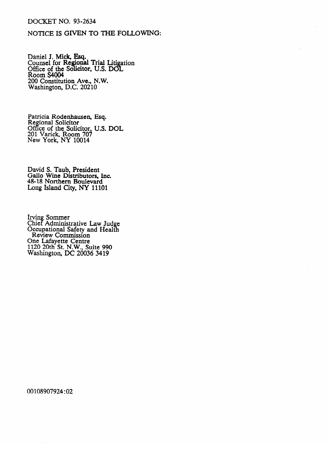#### **DOCKET NO. 93-2634**

# NOTICE IS GIVEN TO THE FOLLOWING:

Daniel J. Mick, Esq.<br>Counsel for Regional Trial Litigation<br>Office of the Solicitor, U.S. DOL Room S4004 200 Constitution Ave., N.W. Washington, D.C. 20210

Patricia Rodenhausen, Esq.<br>Regional Solicitor<br>Office of the Solicitor, U.S. DOL<br>201 Varick, Room 707<br>New York, NY 10014

David S. Taub, President<br>Gallo Wine Distributors, Inc.<br>48-18 Northern Boulevard<br>Long Island City, NY 11101

Irving Sommer<br>Chief Administrative Law Judge<br>Occupational Safety and Health<br>Review Commission<br>One Lafayette Centre<br>1120 20th St. N.W., Suite 990<br>Washington, DC 20036 3419

00108907924:02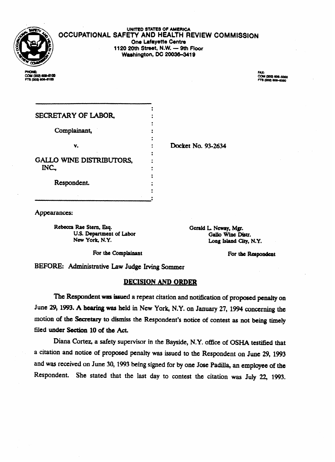

UNITED STATES OF AMERICA **OCCUPATIONAL SAFETY AND HEALTH REVIEW COMMISSION One Lafayette Centre 1120 20th Street, N.W. - 9th Floor Washington, DC 20036-3419** 

COM (202) 608-6100 FTS (202) 806-6100

FAX:<br>COM (202) 606-6060 3 (202) 606-6060

| SECRETARY OF LABOR,                      |                    |
|------------------------------------------|--------------------|
| Complainant,                             |                    |
| v.                                       | Docket No. 93-2634 |
|                                          |                    |
| <b>GALLO WINE DISTRIBUTORS,</b><br>INC., |                    |
| Respondent.                              |                    |
|                                          |                    |

Appearances:

**Rebecca Rae Stem, Esq.**  U.S. Department of Labor **New York, N.Y.** 

**Gerald L. Neway, Mgr. Gallo Wine Distr. Lang Island City, N.Y.** 

**For the** Complainant

For the Respondent

BEFORE: Administrative Law Judge Irving Sommer

# **DECISION AND ORDER**

The Respondent was issued a repeat citation and notification of proposed penalty on June 29, 1993. A hearing was held in New York, N.Y. on January 27, 1994 concerning the motion **of** the Secretary **to** dismiss the Respondent's notice of contest as not being timely filed under Section 10 of the Act.

Diana Cortez, a safety supervisor in the Bayside, N.Y. office of OSHA testified that a citation and notice of proposed penalty was issued to the Respondent on June 29, 1993 and was received on June 30, 1993 being signed for by one Jose Padilla, an employee of the Respondent. She stated that the last day to contest the citation was July 22, **1993.**